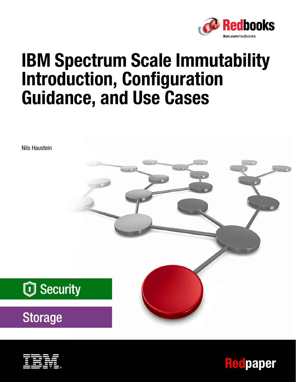

# **IBM Spectrum Scale Immutability Introduction, Configuration Guidance, and Use Cases**

Nils Haustein





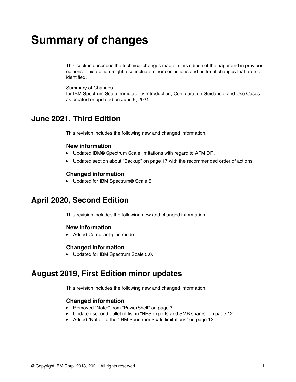## **Summary of changes**

This section describes the technical changes made in this edition of the paper and in previous editions. This edition might also include minor corrections and editorial changes that are not identified.

Summary of Changes

for IBM Spectrum Scale Immutability Introduction, Configuration Guidance, and Use Cases as created or updated on June 9, 2021.

## **June 2021, Third Edition**

This revision includes the following new and changed information.

#### **New information**

- ► Updated IBM® Spectrum Scale limitations with regard to AFM DR.
- Updated section about ["Backup" on page 17](#page-20-0) with the recommended order of actions.

#### **Changed information**

► Updated for IBM Spectrum<sup>®</sup> Scale 5.1.

## **April 2020, Second Edition**

This revision includes the following new and changed information.

#### **New information**

- Added Compliant-plus mode.

#### **Changed information**

► Updated for IBM Spectrum Scale 5.0.

## **August 2019, First Edition minor updates**

This revision includes the following new and changed information.

#### **Changed information**

- ► Removed "Note:" from ["PowerShell" on page 7](#page-10-0).
- ► Updated second bullet of list in ["NFS exports and SMB shares" on page 12.](#page-15-0)
- ► Added "Note:" to the ["IBM Spectrum Scale limitations" on page 12.](#page-15-1)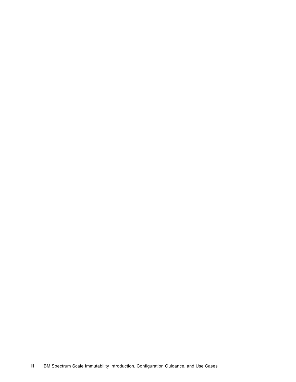**II** IBM Spectrum Scale Immutability Introduction, Configuration Guidance, and Use Cases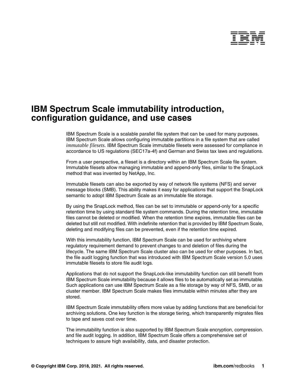

## **IBM Spectrum Scale immutability introduction, configuration guidance, and use cases**

IBM Spectrum Scale is a scalable parallel file system that can be used for many purposes. IBM Spectrum Scale allows configuring immutable partitions in a file system that are called *immutable filesets*. IBM Spectrum Scale immutable filesets were assessed for compliance in accordance to US regulations (SEC17a-4f) and German and Swiss tax laws and regulations.

From a user perspective, a fileset is a directory within an IBM Spectrum Scale file system. Immutable filesets allow managing immutable and append-only files, similar to the SnapLock method that was invented by NetApp, Inc.

Immutable filesets can also be exported by way of network file systems (NFS) and server message blocks (SMB). This ability makes it easy for applications that support the SnapLock semantic to adopt IBM Spectrum Scale as an immutable file storage.

By using the SnapLock method, files can be set to immutable or append-only for a specific retention time by using standard file system commands. During the retention time, immutable files cannot be deleted or modified. When the retention time expires, immutable files can be deleted but still not modified. With indefinite retention that is provided by IBM Spectrum Scale, deleting and modifying files can be prevented, even if the retention time expired.

With this immutability function, IBM Spectrum Scale can be used for archiving where regulatory requirement demand to prevent changes to and deletion of files during the lifecycle. The same IBM Spectrum Scale cluster also can be used for other purposes. In fact, the file audit logging function that was introduced with IBM Spectrum Scale version 5.0 uses immutable filesets to store file audit logs.

Applications that do not support the SnapLock-like immutability function can still benefit from IBM Spectrum Scale immutability because it allows files to be automatically set as immutable. Such applications can use IBM Spectrum Scale as a file storage by way of NFS, SMB, or as cluster member. IBM Spectrum Scale makes files immutable within minutes after they are stored.

IBM Spectrum Scale immutability offers more value by adding functions that are beneficial for archiving solutions. One key function is the storage tiering, which transparently migrates files to tape and saves cost over time.

The immutability function is also supported by IBM Spectrum Scale encryption, compression. and file audit logging. In addition, IBM Spectrum Scale offers a comprehensive set of techniques to assure high availability, data, and disaster protection.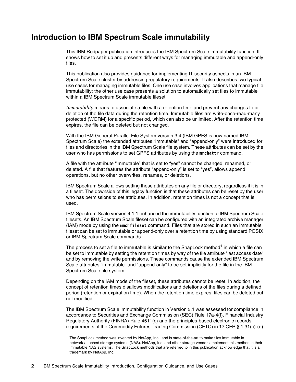## **Introduction to IBM Spectrum Scale immutability**

This IBM Redpaper publication introduces the IBM Spectrum Scale immutability function. It shows how to set it up and presents different ways for managing immutable and append-only files.

This publication also provides guidance for implementing IT security aspects in an IBM Spectrum Scale cluster by addressing regulatory requirements. It also describes two typical use cases for managing immutable files. One use case involves applications that manage file immutability; the other use case presents a solution to automatically set files to immutable within a IBM Spectrum Scale immutable fileset.

*Immutability* means to associate a file with a retention time and prevent any changes to or deletion of the file data during the retention time. Immutable files are write-once-read-many protected (WORM) for a specific period, which can also be unlimited. After the retention time expires, the file can be deleted but not changed.

With the IBM General Parallel File System version 3.4 (IBM GPFS is now named IBM Spectrum Scale) the extended attributes "immutable" and "append-only" were introduced for files and directories in the IBM Spectrum Scale file system. These attributes can be set by the user who has permissions to set GPFS attributes by using the **mmchattr** command.

A file with the attribute "immutable" that is set to "yes" cannot be changed, renamed, or deleted. A file that features the attribute "append-only" is set to "yes", allows append operations, but no other overwrites, renames, or deletions.

IBM Spectrum Scale allows setting these attributes on any file or directory, regardless if it is in a fileset. The downside of this legacy function is that these attributes can be reset by the user who has permissions to set attributes. In addition, retention times is not a concept that is used.

IBM Spectrum Scale version 4.1.1 enhanced the immutability function to IBM Spectrum Scale filesets. An IBM Spectrum Scale fileset can be configured with an integrated archive manager (IAM) mode by using the **mmchfileset** command. Files that are stored in such an immutable fileset can be set to immutable or append-only over a retention time by using standard POSIX or IBM Spectrum Scale commands.

The process to set a file to immutable is similar to the SnapLock method<sup>1</sup> in which a file can be set to immutable by setting the retention times by way of the file attribute "last access date" and by removing the write permissions. These commands cause the extended IBM Spectrum Scale attributes "immutable" and "append-only" to be set implicitly for the file in the IBM Spectrum Scale file system.

Depending on the IAM mode of the fileset, these attributes cannot be reset. In addition, the concept of retention times disallows modifications and deletions of the files during a defined period (retention or expiration time). When the retention time expires, files can be deleted but not modified.

The IBM Spectrum Scale immutability function in Version 5.1 was assessed for compliance in accordance to Securities and Exchange Commission (SEC) Rule 17a-4(f), Financial Industry Regulatory Authority (FINRA) Rule 4511(c) and the principles-based electronic records requirements of the Commodity Futures Trading Commission (CFTC) in 17 CFR § 1.31(c)-(d).

<sup>&</sup>lt;sup>1</sup> The SnapLock method was invented by NetApp, Inc., and is state-of-the-art to make files immutable in network-attached storage systems (NAS). NetApp, Inc. and other storage vendors implement this method in their immutable NAS systems. The SnapLock methods that are referred to in this publication acknowledge that it is a trademark by NetApp, Inc.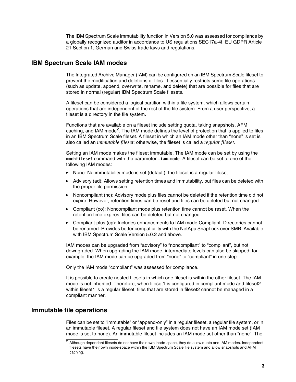The IBM Spectrum Scale immutability function in Version 5.0 was assessed for compliance by a globally recognized auditor in accordance to US regulations SEC17a-4f, EU GDPR Article 21 Section 1, German and Swiss trade laws and regulations.

#### **IBM Spectrum Scale IAM modes**

The Integrated Archive Manager (IAM) can be configured on an IBM Spectrum Scale fileset to prevent the modification and deletions of files. It essentially restricts some file operations (such as update, append, overwrite, rename, and delete) that are possible for files that are stored in normal (regular) IBM Spectrum Scale filesets.

A fileset can be considered a logical partition within a file system, which allows certain operations that are independent of the rest of the file system. From a user perspective, a fileset is a directory in the file system.

Functions that are available on a fileset include setting quota, taking snapshots, AFM caching, and IAM mode<sup>2</sup>. The IAM mode defines the level of protection that is applied to files in an IBM Spectrum Scale fileset. A fileset in which an IAM mode other than "none" is set is also called an *immutable fileset*; otherwise, the fileset is called a *regular fileset*.

Setting an IAM mode makes the fileset immutable. The IAM mode can be set by using the **mmchfileset** command with the parameter **-iam-mode**. A fileset can be set to one of the following IAM modes:

- ► None: No immutability mode is set (default); the fileset is a regular fileset.
- ► Advisory (ad): Allows setting retention times and immutability, but files can be deleted with the proper file permission.
- Noncompliant (nc): Advisory mode plus files cannot be deleted if the retention time did not expire. However, retention times can be reset and files can be deleted but not changed.
- ► Compliant (co): Noncompliant mode plus retention time cannot be reset. When the retention time expires, files can be deleted but not changed.
- ► Compliant-plus (cp): Includes enhancements to IAM mode Compliant. Directories cannot be renamed. Provides better compatibility with the NetApp SnapLock over SMB. Available with IBM Spectrum Scale Version 5.0.2 and above.

IAM modes can be upgraded from "advisory" to "noncompliant" to "compliant", but not downgraded. When upgrading the IAM mode, intermediate levels can also be skipped; for example, the IAM mode can be upgraded from "none" to "compliant" in one step.

Only the IAM mode "compliant" was assessed for compliance.

It is possible to create nested filesets in which one fileset is within the other fileset. The IAM mode is not inherited. Therefore, when fileset1 is configured in compliant mode and fileset2 within fileset1 is a regular fileset, files that are stored in fileset2 cannot be managed in a compliant manner.

#### **Immutable file operations**

Files can be set to "immutable" or "append-only" in a regular fileset, a regular file system, or in an immutable fileset. A regular fileset and file system does not have an IAM mode set (IAM mode is set to none). An immutable fileset includes an IAM mode set other than "none". The

<sup>&</sup>lt;sup>2</sup> Although dependent filesets do not have their own inode-space, they do allow quota and IAM modes. Independent filesets have their own inode-space within the IBM Spectrum Scale file system and allow snapshots and AFM caching.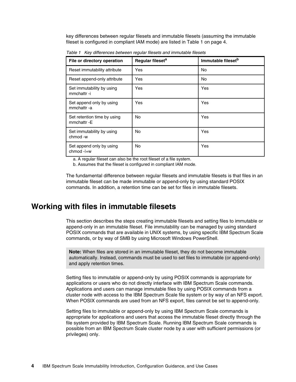key differences between regular filesets and immutable filesets (assuming the immutable fileset is configured in compliant IAM mode) are listed in [Table 1 on page 4](#page-7-0).

| File or directory operation               | Regular fileset <sup>a</sup> | Immutable fileset <sup>b</sup> |
|-------------------------------------------|------------------------------|--------------------------------|
| Reset immutability attribute              | Yes                          | No                             |
| Reset append-only attribute               | Yes                          | No                             |
| Set immutability by using<br>mmchattr-i   | Yes                          | Yes                            |
| Set append only by using<br>mmchattr-a    | Yes                          | Yes                            |
| Set retention time by using<br>mmchattr-E | <b>No</b>                    | Yes                            |
| Set immutability by using<br>chmod -w     | <b>No</b>                    | Yes                            |
| Set append only by using<br>$chmod -l+w$  | No                           | Yes                            |

<span id="page-7-0"></span>*Table 1 Key differences between regular filesets and immutable filesets*

a. A regular fileset can also be the root fileset of a file system.

b. Assumes that the fileset is configured in compliant IAM mode.

The fundamental difference between regular filesets and immutable filesets is that files in an immutable fileset can be made immutable or append-only by using standard POSIX commands. In addition, a retention time can be set for files in immutable filesets.

## **Working with files in immutable filesets**

This section describes the steps creating immutable filesets and setting files to immutable or append-only in an immutable fileset. File immutability can be managed by using standard POSIX commands that are available in UNIX systems, by using specific IBM Spectrum Scale commands, or by way of SMB by using Microsoft Windows PowerShell.

**Note:** When files are stored in an immutable fileset, they do not become immutable automatically. Instead, commands must be used to set files to immutable (or append-only) and apply retention times.

Setting files to immutable or append-only by using POSIX commands is appropriate for applications or users who do not directly interface with IBM Spectrum Scale commands. Applications and users can manage immutable files by using POSIX commands from a cluster node with access to the IBM Spectrum Scale file system or by way of an NFS export. When POSIX commands are used from an NFS export, files cannot be set to append-only.

Setting files to immutable or append-only by using IBM Spectrum Scale commands is appropriate for applications and users that access the immutable fileset directly through the file system provided by IBM Spectrum Scale. Running IBM Spectrum Scale commands is possible from an IBM Spectrum Scale cluster node by a user with sufficient permissions (or privileges) only.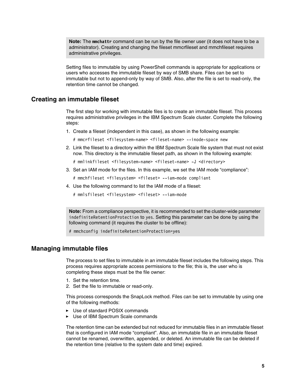**Note:** The **mmchattr** command can be run by the file owner user (it does not have to be a administrator). Creating and changing the fileset mmcrfileset and mmchfileset requires administrative privileges.

Setting files to immutable by using PowerShell commands is appropriate for applications or users who accesses the immutable fileset by way of SMB share. Files can be set to immutable but not to append-only by way of SMB. Also, after the file is set to read-only, the retention time cannot be changed.

#### **Creating an immutable fileset**

The first step for working with immutable files is to create an immutable fileset. This process requires administrative privileges in the IBM Spectrum Scale cluster. Complete the following steps:

1. Create a fileset (independent in this case), as shown in the following example:

# mmcrfileset <filesystem-name> <fileset-name> --inode-space new

2. Link the fileset to a directory within the IBM Spectrum Scale file system that must not exist now. This directory is the immutable fileset path, as shown in the following example:

# mmlinkfileset <filesystem-name> <fileset-name> -J <directory>

3. Set an IAM mode for the files. In this example, we set the IAM mode "compliance":

# mmchfileset <filesystem> <fileset> --iam-mode compliant

4. Use the following command to list the IAM mode of a fileset:

# mmlsfileset <filesystem> <fileset> --iam-mode

**Note:** From a compliance perspective, it is recommended to set the cluster-wide parameter indefiniteRetentionProtection to yes. Setting this parameter can be done by using the following command (it requires the cluster to be offline):

# mmchconfig indefiniteRetentionProtection=yes

#### <span id="page-8-0"></span>**Managing immutable files**

The process to set files to immutable in an immutable fileset includes the following steps. This process requires appropriate access permissions to the file; this is, the user who is completing these steps must be the file owner:

- 1. Set the retention time.
- 2. Set the file to immutable or read-only.

This process corresponds the SnapLock method. Files can be set to immutable by using one of the following methods:

- ► Use of standard POSIX commands
- ► Use of IBM Spectrum Scale commands

The retention time can be extended but not reduced for immutable files in an immutable fileset that is configured in IAM mode "compliant". Also, an immutable file in an immutable fileset cannot be renamed, overwritten, appended, or deleted. An immutable file can be deleted if the retention time (relative to the system date and time) expired.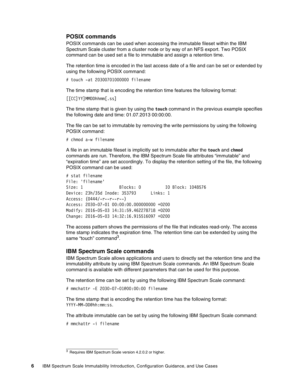#### **POSIX commands**

POSIX commands can be used when accessing the immutable fileset within the IBM Spectrum Scale cluster from a cluster node or by way of an NFS export. Two POSIX command can be used set a file to immutable and assign a retention time.

The retention time is encoded in the last access date of a file and can be set or extended by using the following POSIX command:

```
# touch -at 20300701000000 filename
```
The time stamp that is encoding the retention time features the following format:

```
[[CC]YY]MMDDhhmm[.ss]
```
The time stamp that is given by using the **touch** command in the previous example specifies the following date and time: 01.07.2013 00:00:00.

The file can be set to immutable by removing the write permissions by using the following POSIX command:

```
# chmod a-w filename
```
A file in an immutable fileset is implicitly set to immutable after the **touch** and **chmod** commands are run. Therefore, the IBM Spectrum Scale file attributes "immutable" and "expiration time" are set accordingly. To display the retention setting of the file, the following POSIX command can be used:

```
# stat filename 
File: 'filename' 
Size: 1 Blocks: 0 IO Block: 1048576
Device: 23h/35d Inode: 353793 Links: 1 
Access: (0444/-r--r--r--) 
Access: 2030-07-01 00:00:00.000000000 +0200 
Modify: 2016-05-03 14:31:59.462278718 +0200 
Change: 2016-05-03 14:32:16.915516097 +0200
```
The access pattern shows the permissions of the file that indicates read-only. The access time stamp indicates the expiration time. The retention time can be extended by using the same "touch" command<sup>3</sup>.

#### **IBM Spectrum Scale commands**

IBM Spectrum Scale allows applications and users to directly set the retention time and the immutability attribute by using IBM Spectrum Scale commands. An IBM Spectrum Scale command is available with different parameters that can be used for this purpose.

The retention time can be set by using the following IBM Spectrum Scale command:

```
# mmchattr -E 2030-07-01@00:00:00 filename
```
The time stamp that is encoding the retention time has the following format: YYYY-MM-DD@hh:mm:ss.

The attribute immutable can be set by using the following IBM Spectrum Scale command:

# mmchattr -i filename

<sup>3</sup> Requires IBM Spectrum Scale version 4.2.0.2 or higher.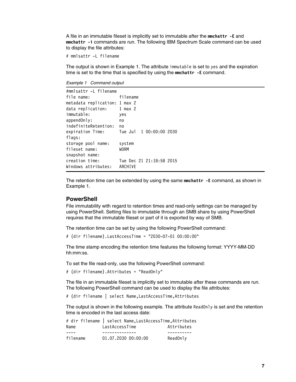A file in an immutable fileset is implicitly set to immutable after the **mmchattr -E** and **mmchattr -i** commands are run. The following IBM Spectrum Scale command can be used to display the file attributes:

# mmlsattr -L filename

The output is shown in [Example 1.](#page-10-1) The attribute immutable is set to yes and the expiration time is set to the time that is specified by using the **mmchattr -E** command.

<span id="page-10-1"></span>*Example 1 Command output*

| #mmlsattr -L filename         |                          |
|-------------------------------|--------------------------|
| file name:                    | filename                 |
| metadata replication: 1 max 2 |                          |
| data replication:             | 1 max 2                  |
| immutable:                    | yes                      |
| appendOnly:                   | no                       |
| indefiniteRetention:          | no                       |
| expiration Time:              | Tue Jul 1 00:00:00 2030  |
| flags:                        |                          |
| storage pool name:            | system                   |
| fileset name:                 | WORM                     |
| snapshot name:                |                          |
| creation time:                | Tue Dec 21 21:18:58 2015 |
| Windows attributes:           | ARCHIVE                  |
|                               |                          |

The retention time can be extended by using the same **mmchattr -E** command, as shown in [Example 1.](#page-10-1)

#### <span id="page-10-0"></span>**PowerShell**

File immutability with regard to retention times and read-only settings can be managed by using PowerShell. Setting files to immutable through an SMB share by using PowerShell requires that the immutable fileset or part of it is exported by way of SMB.

The retention time can be set by using the following PowerShell command:

```
# (dir filename).LastAccessTime = "2030-07-01 00:00:00"
```
The time stamp encoding the retention time features the following format: YYYY-MM-DD hh:mm:ss.

To set the file read-only, use the following PowerShell command:

# (dir filename).Attributes = "ReadOnly"

The file in an immutable fileset is implicitly set to immutable after these commands are run. The following PowerShell command can be used to display the file attributes:

# (dir filename | select Name,LastAccessTime,Attributes

The output is shown in the following example. The attribute ReadOnly is set and the retention time is encoded in the last access date:

|           | # dir filename   select Name,LastAccessTime,Attributes |            |
|-----------|--------------------------------------------------------|------------|
| Name      | LastAccessTime                                         | Attributes |
| $- - - -$ |                                                        |            |
| filename  | $01.07.2030$ $00:00:00$                                | ReadOnly   |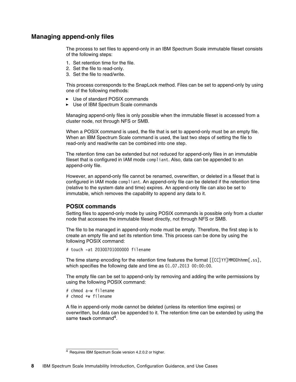#### <span id="page-11-0"></span>**Managing append-only files**

The process to set files to append-only in an IBM Spectrum Scale immutable fileset consists of the following steps:

- 1. Set retention time for the file.
- 2. Set the file to read-only.
- 3. Set the file to read/write.

This process corresponds to the SnapLock method. Files can be set to append-only by using one of the following methods:

- ► Use of standard POSIX commands
- ► Use of IBM Spectrum Scale commands

Managing append-only files is only possible when the immutable fileset is accessed from a cluster node, not through NFS or SMB.

When a POSIX command is used, the file that is set to append-only must be an empty file. When an IBM Spectrum Scale command is used, the last two steps of setting the file to read-only and read/write can be combined into one step.

The retention time can be extended but not reduced for append-only files in an immutable fileset that is configured in IAM mode compliant. Also, data can be appended to an append-only file.

However, an append-only file cannot be renamed, overwritten, or deleted in a fileset that is configured in IAM mode compliant. An append-only file can be deleted if the retention time (relative to the system date and time) expires. An append-only file can also be set to immutable, which removes the capability to append any data to it.

#### **POSIX commands**

Setting files to append-only mode by using POSIX commands is possible only from a cluster node that accesses the immutable fileset directly, not through NFS or SMB.

The file to be managed in append-only mode must be empty. Therefore, the first step is to create an empty file and set its retention time. This process can be done by using the following POSIX command:

# touch -at 20300701000000 filename

The time stamp encoding for the retention time features the format [[CC]YY]MMDDhhmm[.ss], which specifies the following date and time as 01.07.2013 00:00:00.

The empty file can be set to append-only by removing and adding the write permissions by using the following POSIX command:

- # chmod a-w filename
- # chmod +w filename

A file in append-only mode cannot be deleted (unless its retention time expires) or overwritten, but data can be appended to it. The retention time can be extended by using the same **touch** command4.

<sup>4</sup> Requires IBM Spectrum Scale version 4.2.0.2 or higher.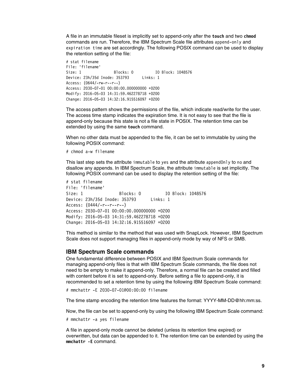A file in an immutable fileset is implicitly set to append-only after the **touch** and two **chmod** commands are run. Therefore, the IBM Spectrum Scale file attributes append-only and expiration time are set accordingly. The following POSIX command can be used to display the retention setting of the file:

```
# stat filename 
File: 'filename' 
Size: 1 Blocks: 0 IO Block: 1048576
Device: 23h/35d Inode: 353793 Links: 1 
Access: (0644/-rw-r--r--) 
Access: 2030-07-01 00:00:00.000000000 +0200 
Modify: 2016-05-03 14:31:59.462278718 +0200 
Change: 2016-05-03 14:32:16.915516097 +0200
```
The access pattern shows the permissions of the file, which indicate read/write for the user. The access time stamp indicates the expiration time. It is not easy to see that the file is append-only because this state is not a file state in POSIX. The retention time can be extended by using the same **touch** command.

When no other data must be appended to the file, it can be set to immutable by using the following POSIX command:

```
# chmod a-w filename
```
This last step sets the attribute immutable to yes and the attribute appendOnly to no and disallow any appends. In IBM Spectrum Scale, the attribute immutable is set implicitly. The following POSIX command can be used to display the retention setting of the file:

```
# stat filename 
File: 'filename' 
Size: 1 Blocks: 0 IO Block: 1048576
Device: 23h/35d Inode: 353793 Links: 1 
Access: (0444/-r--r--r--) 
Access: 2030-07-01 00:00:00.000000000 +0200 
Modify: 2016-05-03 14:31:59.462278718 +0200 
Change: 2016-05-03 14:32:16.915516097 +0200
```
This method is similar to the method that was used with SnapLock. However, IBM Spectrum Scale does not support managing files in append-only mode by way of NFS or SMB.

#### **IBM Spectrum Scale commands**

One fundamental difference between POSIX and IBM Spectrum Scale commands for managing append-only files is that with IBM Spectrum Scale commands, the file does not need to be empty to make it append-only. Therefore, a normal file can be created and filled with content before it is set to append-only. Before setting a file to append-only, it is recommended to set a retention time by using the following IBM Spectrum Scale command:

```
# mmchattr -E 2030-07-01@00:00:00 filename
```
The time stamp encoding the retention time features the format: YYYY-MM-DD@hh:mm:ss.

Now, the file can be set to append-only by using the following IBM Spectrum Scale command:

# mmchattr -a yes filename

A file in append-only mode cannot be deleted (unless its retention time expired) or overwritten, but data can be appended to it. The retention time can be extended by using the **mmchattr -E** command.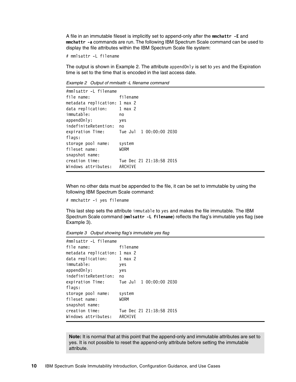A file in an immutable fileset is implicitly set to append-only after the **mmchattr -E** and **mmchattr -a** commands are run. The following IBM Spectrum Scale command can be used to display the file attributes within the IBM Spectrum Scale file system:

# mmlsattr -L filename

The output is shown in [Example 2.](#page-13-0) The attribute appendOnly is set to yes and the Expiration time is set to the time that is encoded in the last access date.

<span id="page-13-0"></span>*Example 2 Output of mmlsattr -L filename command*

| #mmlsattr -L filename         |                          |
|-------------------------------|--------------------------|
| file name:                    | filename                 |
| metadata replication: 1 max 2 |                          |
| data replication:             | 1 max 2                  |
| immutable:                    | no                       |
| appendOnly:                   | yes                      |
| indefiniteRetention:          | no                       |
| expiration Time:              | Tue Jul 1 00:00:00 2030  |
| flags:                        |                          |
| storage pool name:            | system                   |
| fileset name:                 | <b>WORM</b>              |
| snapshot name:                |                          |
| creation time:                | Tue Dec 21 21:18:58 2015 |
| Windows attributes:           | ARCHIVE                  |
|                               |                          |

When no other data must be appended to the file, it can be set to immutable by using the following IBM Spectrum Scale command:

# mmchattr -i yes filename

This last step sets the attribute immutable to yes and makes the file immutable. The IBM Spectrum Scale command (**mmlsattr -L filename**) reflects the flag's immutable yes flag (see [Example 3](#page-13-1)).

<span id="page-13-1"></span>*Example 3 Output showing flag's immutable yes flag*

```
#mmlsattr -L filename 
file name: filename 
metadata replication: 1 max 2 
data replication: 1 max 2 
immutable: yes 
appendOnly: yes 
indefiniteRetention: no 
expiration Time: Tue Jul 1 00:00:00 2030 
flags: 
storage pool name: system 
fileset name: WORM 
snapshot name: 
creation time: Tue Dec 21 21:18:58 2015 
Windows attributes: ARCHIVE
```
**Note:** It is normal that at this point that the append-only and immutable attributes are set to yes. It is not possible to reset the append-only attribute before setting the immutable attribute.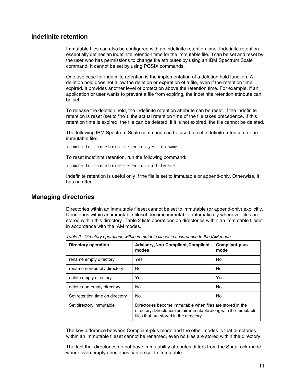#### <span id="page-14-1"></span>**Indefinite retention**

Immutable files can also be configured with an indefinite retention time. Indefinite retention essentially defines an indefinite retention time for the immutable file. It can be set and reset by the user who has permissions to change file attributes by using an IBM Spectrum Scale command. It cannot be set by using POSIX commands.

One use case for indefinite retention is the implementation of a deletion hold function. A deletion hold does not allow the deletion or expiration of a file, even if the retention time expired. It provides another level of protection above the retention time. For example, if an application or user wants to prevent a file from expiring, the indefinite retention attribute can be set.

To release the deletion hold, the indefinite retention attribute can be reset. If the indefinite retention is reset (set to "no"), the actual retention time of the file takes precedence. If this retention time is expired, the file can be deleted; if it is not expired, the file cannot be deleted.

The following IBM Spectrum Scale command can be used to set indefinite retention for an immutable file:

# mmchattr --indefinite-retention yes filename

To reset indefinite retention, run the following command:

```
# mmchattr --indefinite-retention no filename
```
Indefinite retention is useful only if the file is set to immutable or append-only. Otherwise, it has no effect.

#### **Managing directories**

Directories within an immutable fileset cannot be set to immutable (or append-only) explicitly. Directories within an immutable fileset become immutable automatically whenever files are stored within this directory. [Table 2](#page-14-0) lists operations on directories within an immutable fileset in accordance with the IAM modes.

| <b>Directory operation</b>      | <b>Advisory, Non-Compliant, Compliant</b><br>modes                                                                                                                      | <b>Compliant-plus</b><br>mode |
|---------------------------------|-------------------------------------------------------------------------------------------------------------------------------------------------------------------------|-------------------------------|
| rename empty directory          | Yes                                                                                                                                                                     | <b>No</b>                     |
| rename non-empty directory      | No                                                                                                                                                                      | No                            |
| delete empty directory          | Yes                                                                                                                                                                     | Yes                           |
| delete non-empty directory      | No                                                                                                                                                                      | <b>No</b>                     |
| Set retention time on directory | No                                                                                                                                                                      | <b>No</b>                     |
| Set directory immutable         | Directories become immutable when files are stored in the<br>directory. Directories remain immutable along with the immutable<br>files that are stored in the directory |                               |

<span id="page-14-0"></span>*Table 2 Directory operations within immutable fileset in accordance to the IAM mode*

The key difference between Compliant-plus mode and the other modes is that directories within an immutable fileset cannot be renamed, even no files are stored within the directory.

The fact that directories do not have immutability attributes differs from the SnapLock mode where even empty directories can be set to immutable.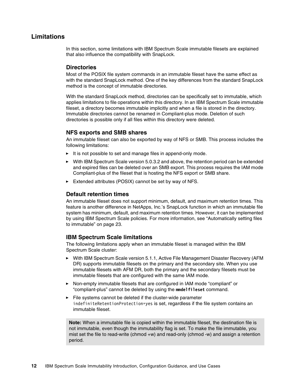#### <span id="page-15-2"></span>**Limitations**

In this section, some limitations with IBM Spectrum Scale immutable filesets are explained that also influence the compatibility with SnapLock.

#### **Directories**

Most of the POSIX file system commands in an immutable fileset have the same effect as with the standard SnapLock method. One of the key differences from the standard SnapLock method is the concept of immutable directories.

With the standard SnapLock method, directories can be specifically set to immutable, which applies limitations to file operations within this directory. In an IBM Spectrum Scale immutable fileset, a directory becomes immutable implicitly and when a file is stored in the directory. Immutable directories cannot be renamed in Compliant-plus mode. Deletion of such directories is possible only if all files within this directory were deleted.

#### <span id="page-15-0"></span>**NFS exports and SMB shares**

An immutable fileset can also be exported by way of NFS or SMB. This process includes the following limitations:

- It is not possible to set and manage files in append-only mode.
- With IBM Spectrum Scale version 5.0.3.2 and above, the retention period can be extended and expired files can be deleted over an SMB export. This process requires the IAM mode Compliant-plus of the fileset that is hosting the NFS export or SMB share.
- ► Extended attributes (POSIX) cannot be set by way of NFS.

#### **Default retention times**

An immutable fileset does not support minimum, default, and maximum retention times. This feature is another difference in NetApps, Inc.'s SnapLock function in which an immutable file system has minimum, default, and maximum retention times. However, it can be implemented by using IBM Spectrum Scale policies. For more information, see ["Automatically setting files](#page-26-0)  [to immutable" on page 23](#page-26-0).

#### <span id="page-15-1"></span>**IBM Spectrum Scale limitations**

The following limitations apply when an immutable fileset is managed within the IBM Spectrum Scale cluster:

- ► With IBM Spectrum Scale version 5.1.1, Active File Management Disaster Recovery (AFM DR) supports immutable filesets on the primary and the secondary site. When you use immutable filesets with AFM DR, both the primary and the secondary filesets must be immutable filesets that are configured with the same IAM mode.
- Non-empty immutable filesets that are configured in IAM mode "compliant" or "compliant-plus" cannot be deleted by using the **mmdelfileset** command.
- File systems cannot be deleted if the cluster-wide parameter indefiniteRetentionProtection=yes is set, regardless if the file system contains an immutable fileset.

**Note:** When a immutable file is copied within the immutable fileset, the destination file is not immutable, even though the immutability flag is set. To make the file immutable, you mist set the file to read-write (chmod +w) and read-only (chmod -w) and assign a retention period.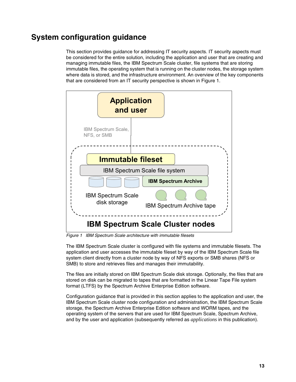## **System configuration guidance**

This section provides guidance for addressing IT security aspects. IT security aspects must be considered for the entire solution, including the application and user that are creating and managing immutable files, the IBM Spectrum Scale cluster, file systems that are storing immutable files, the operating system that is running on the cluster nodes, the storage system where data is stored, and the infrastructure environment. An overview of the key components that are considered from an IT security perspective is shown in [Figure 1](#page-16-0).



<span id="page-16-0"></span>*Figure 1 IBM Spectrum Scale architecture with immutable filesets* 

The IBM Spectrum Scale cluster is configured with file systems and immutable filesets. The application and user accesses the immutable fileset by way of the IBM Spectrum Scale file system client directly from a cluster node by way of NFS exports or SMB shares (NFS or SMB) to store and retrieves files and manages their immutability.

The files are initially stored on IBM Spectrum Scale disk storage. Optionally, the files that are stored on disk can be migrated to tapes that are formatted in the Linear Tape File system format (LTFS) by the Spectrum Archive Enterprise Edition software.

Configuration guidance that is provided in this section applies to the application and user, the IBM Spectrum Scale cluster node configuration and administration, the IBM Spectrum Scale storage, the Spectrum Archive Enterprise Edition software and WORM tapes, and the operating system of the servers that are used for IBM Spectrum Scale, Spectrum Archive, and by the user and application (subsequently referred as *applications* in this publication).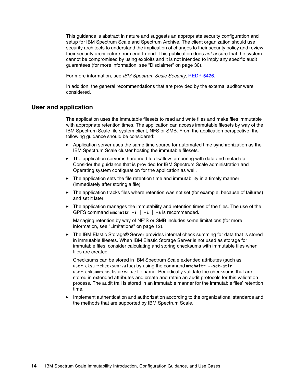This guidance is abstract in nature and suggests an appropriate security configuration and setup for IBM Spectrum Scale and Spectrum Archive. The client organization should use security architects to understand the implication of changes to their security policy and review their security architecture from end-to-end. This publication does *not* assure that the system cannot be compromised by using exploits and it is not intended to imply any specific audit guarantees (for more information, see ["Disclaimer" on page 30\)](#page-33-0).

For more information, see *IBM Spectrum Scale Security*, [REDP-5426.](https://www.redbooks.ibm.com/redbooks.nsf/RedpieceAbstracts/redp5426.html)

In addition, the general recommendations that are provided by the external auditor were considered.

#### **User and application**

The application uses the immutable filesets to read and write files and make files immutable with appropriate retention times. The application can access immutable filesets by way of the IBM Spectrum Scale file system client, NFS or SMB. From the application perspective, the following guidance should be considered:

- Application server uses the same time source for automated time synchronization as the IBM Spectrum Scale cluster hosting the immutable filesets.
- The application server is hardened to disallow tampering with data and metadata. Consider the guidance that is provided for IBM Spectrum Scale administration and Operating system configuration for the application as well.
- ► The application sets the file retention time and immutability in a timely manner (immediately after storing a file).
- The application tracks files where retention was not set (for example, because of failures) and set it later.
- The application manages the immutability and retention times of the files. The use of the GPFS command **mmchattr -i | -E | -a** is recommended.

Managing retention by way of NF"S or SMB includes some limitations (for more information, see ["Limitations" on page 12](#page-15-2)).

► The IBM Elastic Storage® Server provides internal check summing for data that is stored in immutable filesets. When IBM Elastic Storage Server is not used as storage for immutable files, consider calculating and storing checksums with immutable files when files are created.

Checksums can be stored in IBM Spectrum Scale extended attributes (such as user.cksum=checksum:value) by using the command **mmchattr --set-attr** user.chksum=checksum:value filename. Periodically validate the checksums that are stored in extended attributes and create and retain an audit protocols for this validation process. The audit trail is stored in an immutable manner for the immutable files' retention time.

- Implement authentication and authorization according to the organizational standards and the methods that are supported by IBM Spectrum Scale.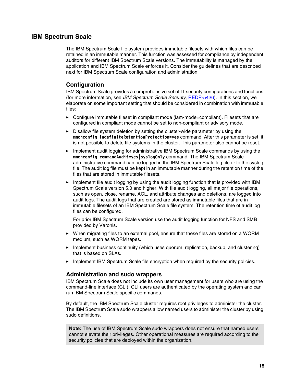#### **IBM Spectrum Scale**

The IBM Spectrum Scale file system provides immutable filesets with which files can be retained in an immutable manner. This function was assessed for compliance by independent auditors for different IBM Spectrum Scale versions. The immutability is managed by the application and IBM Spectrum Scale enforces it. Consider the guidelines that are described next for IBM Spectrum Scale configuration and administration.

#### **Configuration**

IBM Spectrum Scale provides a comprehensive set of IT security configurations and functions (for more information, see *IBM Spectrum Scale Security*, [REDP-5426\)](http://www.redbooks.ibm.com/abstracts/redp5426.html?Open). In this section, we elaborate on some important setting that should be considered in combination with immutable files:

- ► Configure immutable fileset in compliant mode (iam-mode=compliant). Filesets that are configured in compliant mode cannot be set to non-compliant or advisory mode.
- ► Disallow file system deletion by setting the cluster-wide parameter by using the **mmchconfig indefiniteRetentionProtection=yes** command. After this parameter is set, it is not possible to delete file systems in the cluster. This parameter also cannot be reset.
- ► Implement audit logging for administrative IBM Spectrum Scale commands by using the **mmchconfig commandAudit=yes|syslogOnly** command. The IBM Spectrum Scale administrative command can be logged in the IBM Spectrum Scale log file or to the syslog file. The audit log file must be kept in an immutable manner during the retention time of the files that are stored in immutable filesets.
- Implement file audit logging by using the audit logging function that is provided with IBM Spectrum Scale version 5.0 and higher. With file audit logging, all major file operations, such as open, close, rename, ACL, and attribute changes and deletions, are logged into audit logs. The audit logs that are created are stored as immutable files that are in immutable filesets of an IBM Spectrum Scale file system. The retention time of audit log files can be configured.

For prior IBM Spectrum Scale version use the audit logging function for NFS and SMB provided by Varonis.

- When migrating files to an external pool, ensure that these files are stored on a WORM medium, such as WORM tapes.
- Implement business continuity (which uses quorum, replication, backup, and clustering) that is based on SLAs.
- Implement IBM Spectrum Scale file encryption when required by the security policies.

#### **Administration and sudo wrappers**

IBM Spectrum Scale does not include its own user management for users who are using the command-line interface (CLI). CLI users are authenticated by the operating system and can run IBM Spectrum Scale specific commands.

By default, the IBM Spectrum Scale cluster requires root privileges to administer the cluster. The IBM Spectrum Scale sudo wrappers allow named users to administer the cluster by using sudo definitions.

**Note:** The use of IBM Spectrum Scale sudo wrappers does not ensure that named users cannot elevate their privileges. Other operational measures are required according to the security policies that are deployed within the organization.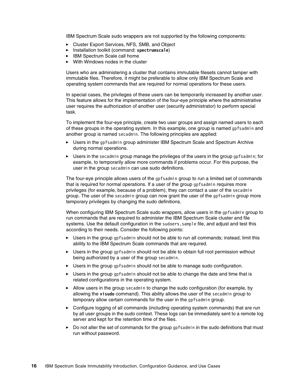IBM Spectrum Scale sudo wrappers are not supported by the following components:

- Cluster Export Services, NFS, SMB, and Object
- Installation toolkit (command: **spectrumscale**)
- IBM Spectrum Scale call home
- ► With Windows nodes in the cluster

Users who are administering a cluster that contains immutable filesets cannot tamper with immutable files. Therefore, it might be preferable to allow only IBM Spectrum Scale and operating system commands that are required for normal operations for these users.

In special cases, the privileges of these users can be temporarily increased by another user. This feature allows for the implementation of the four-eye principle where the administrative user requires the authorization of another user (security administrator) to perform special task.

To implement the four-eye principle, create two user groups and assign named users to each of these groups in the operating system. In this example, one group is named gpfsadmin and another group is named secadmin. The following principles are applied:

- ► Users in the gpfsadmin group administer IBM Spectrum Scale and Spectrum Archive during normal operations.
- Users in the secadmin group manage the privileges of the users in the group gpfsadmin; for example, to temporarily allow more commands if problems occur. For this purpose, the user in the group secadmin can use sudo definitions.

The four-eye principle allows users of the gpfsadmin group to run a limited set of commands that is required for normal operations. If a user of the group gpfsadmin requires more privileges (for example, because of a problem), they can contact a user of the secadmin group. The user of the secadmin group can now grant the user of the gpfsadmin group more temporary privileges by changing the sudo definitions.

When configuring IBM Spectrum Scale sudo wrappers, allow users in the gpfsadmin group to run commands that are required to administer the IBM Spectrum Scale cluster and file systems. Use the default configuration in the sudoers. sample file, and adjust and test this according to their needs. Consider the following points:

- Users in the group gpfsadmin should not be able to run all commands; instead, limit this ability to the IBM Spectrum Scale commands that are required.
- Users in the group gpfsadmin should not be able to obtain full root permission without being authorized by a user of the group secadmin.
- Users in the group gpfsadmin should not be able to manage sudo configuration.
- ► Users in the group gpfsadmin should not be able to change the date and time that is related configurations in the operating system.
- Allow users in the group secadmin to change the sudo configuration (for example, by allowing the **visudo** command). This ability allows the user of the secadmin group to temporary allow certain commands for the user in the gpfsadmin group.
- ► Configure logging of all commands (including operating system commands) that are run by all user groups in the sudo context. These logs can be immediately sent to a remote log server and kept for the retention time of the files.
- $\blacktriangleright$  Do not alter the set of commands for the group  $\mathfrak g$ pfsadmin in the sudo definitions that must run without password.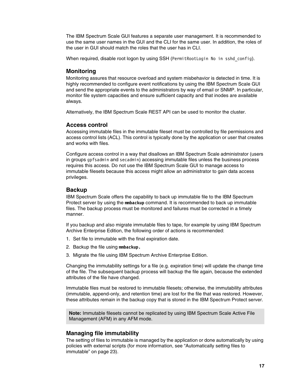The IBM Spectrum Scale GUI features a separate user management. It is recommended to use the same user names in the GUI and the CLI for the same user. In addition, the roles of the user in GUI should match the roles that the user has in CLI.

When required, disable root logon by using SSH (PermitRootLogin No in sshd config).

#### **Monitoring**

Monitoring assures that resource overload and system misbehavior is detected in time. It is highly recommended to configure event notifications by using the IBM Spectrum Scale GUI and send the appropriate events to the administrators by way of email or SNMP. In particular, monitor file system capacities and ensure sufficient capacity and that inodes are available always.

Alternatively, the IBM Spectrum Scale REST API can be used to monitor the cluster.

#### **Access control**

Accessing immutable files in the immutable fileset must be controlled by file permissions and access control lists (ACL). This control is typically done by the application or user that creates and works with files.

Configure access control in a way that disallows an IBM Spectrum Scale administrator (users in groups gpfsadmin and secadmin) accessing immutable files unless the business process requires this access. Do not use the IBM Spectrum Scale GUI to manage access to immutable filesets because this access might allow an administrator to gain data access privileges.

#### <span id="page-20-0"></span>**Backup**

IBM Spectrum Scale offers the capability to back up immutable file to the IBM Spectrum Protect server by using the **mmbackup** command. It is recommended to back up immutable files. The backup process must be monitored and failures must be corrected in a timely manner.

If you backup and also migrate immutable files to tape, for example by using IBM Spectrum Archive Enterprise Edition, the following order of actions is recommended:

- 1. Set file to immutable with the final expiration date.
- 2. Backup the file using **mmbackup.**
- 3. Migrate the file using IBM Spectrum Archive Enterprise Edition.

Changing the immutability settings for a file (e.g. expiration time) will update the change time of the file. The subsequent backup process will backup the file again, because the extended attributes of the file have changed.

Immutable files must be restored to immutable filesets; otherwise, the immutability attributes (immutable, append-only, and retention time) are lost for the file that was restored. However, these attributes remain in the backup copy that is stored in the IBM Spectrum Protect server.

**Note:** Immutable filesets cannot be replicated by using IBM Spectrum Scale Active File Management (AFM) in any AFM mode.

#### **Managing file immutability**

The setting of files to immutable is managed by the application or done automatically by using policies with external scripts (for more information, see ["Automatically setting files to](#page-26-0)  [immutable" on page 23](#page-26-0)).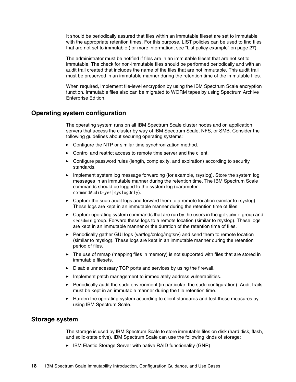It should be periodically assured that files within an immutable fileset are set to immutable with the appropriate retention times. For this purpose, LIST policies can be used to find files that are not set to immutable (for more information, see ["List policy example" on page 27](#page-30-0)).

The administrator must be notified if files are in an immutable fileset that are not set to immutable. The check for non-immutable files should be performed periodically and with an audit trail created that includes the name of the files that are not immutable. This audit trail must be preserved in an immutable manner during the retention time of the immutable files.

When required, implement file-level encryption by using the IBM Spectrum Scale encryption function. Immutable files also can be migrated to WORM tapes by using Spectrum Archive Enterprise Edition.

#### **Operating system configuration**

The operating system runs on all IBM Spectrum Scale cluster nodes and on application servers that access the cluster by way of IBM Spectrum Scale, NFS, or SMB. Consider the following guidelines about securing operating systems:

- Configure the NTP or similar time synchronization method.
- Control and restrict access to remote time server and the client.
- ► Configure password rules (length, complexity, and expiration) according to security standards.
- Implement system log message forwarding (for example, rsyslog). Store the system log messages in an immutable manner during the retention time. The IBM Spectrum Scale commands should be logged to the system log (parameter commandAudit=yes|syslogOnly).
- Capture the sudo audit logs and forward them to a remote location (similar to rsyslog). These logs are kept in an immutable manner during the retention time of files.
- $\blacktriangleright$  Capture operating system commands that are run by the users in the  $\mathfrak g$ pfsadmin group and secadmin group. Forward these logs to a remote location (similar to rsyslog). These logs are kept in an immutable manner or the duration of the retention time of files.
- ► Periodically gather GUI logs (var/log/cnlog/mgtsrv) and send them to remote location (similar to rsyslog). These logs are kept in an immutable manner during the retention period of files.
- ► The use of mmap (mapping files in memory) is not supported with files that are stored in immutable filesets.
- Disable unnecessary TCP ports and services by using the firewall.
- Implement patch management to immediately address vulnerabilities.
- ► Periodically audit the sudo environment (in particular, the sudo configuration). Audit trails must be kept in an immutable manner during the file retention time.
- Harden the operating system according to client standards and test these measures by using IBM Spectrum Scale.

#### **Storage system**

The storage is used by IBM Spectrum Scale to store immutable files on disk (hard disk, flash, and solid-state drive). IBM Spectrum Scale can use the following kinds of storage:

► IBM Elastic Storage Server with native RAID functionality (GNR)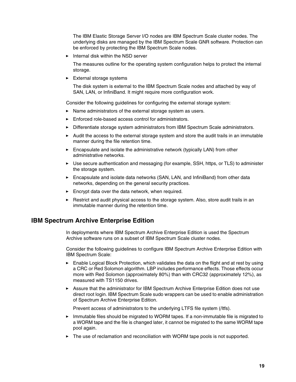The IBM Elastic Storage Server I/O nodes are IBM Spectrum Scale cluster nodes. The underlying disks are managed by the IBM Spectrum Scale GNR software. Protection can be enforced by protecting the IBM Spectrum Scale nodes.

- Internal disk within the NSD server

The measures outline for the operating system configuration helps to protect the internal storage.

**External storage systems** 

The disk system is external to the IBM Spectrum Scale nodes and attached by way of SAN, LAN, or InfiniBand. It might require more configuration work.

Consider the following guidelines for configuring the external storage system:

- Name administrators of the external storage system as users.
- Enforced role-based access control for administrators.
- Differentiate storage system administrators from IBM Spectrum Scale administrators.
- Audit the access to the external storage system and store the audit trails in an immutable manner during the file retention time.
- ► Encapsulate and isolate the administrative network (typically LAN) from other administrative networks.
- ► Use secure authentication and messaging (for example, SSH, https, or TLS) to administer the storage system.
- ► Encapsulate and isolate data networks (SAN, LAN, and InfiniBand) from other data networks, depending on the general security practices.
- Encrypt data over the data network, when required.
- - Restrict and audit physical access to the storage system. Also, store audit trails in an immutable manner during the retention time.

#### **IBM Spectrum Archive Enterprise Edition**

In deployments where IBM Spectrum Archive Enterprise Edition is used the Spectrum Archive software runs on a subset of IBM Spectrum Scale cluster nodes.

Consider the following guidelines to configure IBM Spectrum Archive Enterprise Edition with IBM Spectrum Scale:

- ► Enable Logical Block Protection, which validates the data on the flight and at rest by using a CRC or Red Solomon algorithm. LBP includes performance effects. Those effects occur more with Red Solomon (approximately 80%) than with CRC32 (approximately 12%), as measured with TS1150 drives.
- ► Assure that the administrator for IBM Spectrum Archive Enterprise Edition does not use direct root login. IBM Spectrum Scale sudo wrappers can be used to enable administration of Spectrum Archive Enterprise Edition.

Prevent access of administrators to the underlying LTFS file system (/ltfs).

- Immutable files should be migrated to WORM tapes. If a non-immutable file is migrated to a WORM tape and the file is changed later, it cannot be migrated to the same WORM tape pool again.
- The use of reclamation and reconciliation with WORM tape pools is not supported.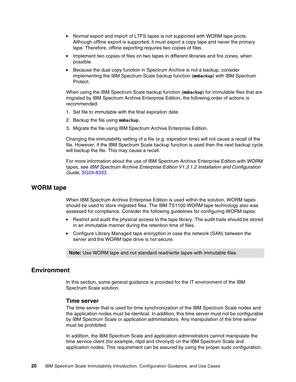- ► Normal export and import of LTFS tapes is not supported with WORM tape pools. Although offline export is supported, it must export a copy tape and never the primary tape. Therefore, offline exporting requires two copies of files.
- Implement two copies of files on two tapes in different libraries and fire zones, when possible.
- ► Because the dual copy function in Spectrum Archive is not a backup, consider implementing the IBM Spectrum Scale backup function (**mmbackup**) with IBM Spectrum Protect.

When using the IBM Spectrum Scale backup function (**mmbackup**) for immutable files that are migrated by IBM Spectrum Archive Enterprise Edition, the following order of actions is recommended:

- 1. Set file to immutable with the final expiration date.
- 2. Backup the file using **mmbackup.**
- 3. Migrate the file using IBM Spectrum Archive Enterprise Edition.

Changing the immutability setting of a file (e.g. expiration time) will not cause a recall of the file. However, if the IBM Spectrum Scale backup function is used then the next backup cycle will backup the file. This may cause a recall.

For more information about the use of IBM Spectrum Archive Enterprise Edition with WORM tapes, see *IBM Spectrum Archive Enterprise Edition V1.3.1.2 Installation and Configuration Guide*, [SG24-8333](http://www.redbooks.ibm.com/redpieces/abstracts/sg248333.html?Open).

#### **WORM tape**

When IBM Spectrum Archive Enterprise Edition is used within the solution, WORM tapes should be used to store migrated files. The IBM TS1100 WORM tape technology also was assessed for compliance. Consider the following guidelines for configuring WORM tapes:

- ► Restrict and audit the physical access to the tape library. The audit trails should be stored in an immutable manner during the retention time of files.
- ► Configure Library Managed tape encryption in case the network (SAN) between the server and the WORM tape drive is not secure.

**Note:** Use WORM tape and not standard read/write tapes with immutable files.

#### **Environment**

In this section, some general guidance is provided for the IT environment of the IBM Spectrum Scale solution.

#### **Time server**

The time server that is used for time synchronization of the IBM Spectrum Scale nodes and the application nodes must be identical. In addition, this time server must not be configurable by IBM Spectrum Scale or application administrators. Any manipulation of the time server must be prohibited.

In addition, the IBM Spectrum Scale and application administrators cannot manipulate the time service client (for example, ntpd and chronyd) on the IBM Spectrum Scale and application nodes. This requirement can be assured by using the proper sudo configuration.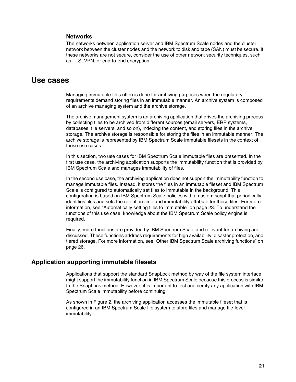#### **Networks**

The networks between application server and IBM Spectrum Scale nodes and the cluster network between the cluster nodes and the network to disk and tape (SAN) must be secure. If these networks are not secure, consider the use of other network security techniques, such as TLS, VPN, or end-to-end encryption.

## **Use cases**

Managing immutable files often is done for archiving purposes when the regulatory requirements demand storing files in an immutable manner. An archive system is composed of an archive managing system and the archive storage.

The archive management system is an archiving application that drives the archiving process by collecting files to be archived from different sources (email servers, ERP systems, databases, file servers, and so on), indexing the content, and storing files in the archive storage. The archive storage is responsible for storing the files in an immutable manner. The archive storage is represented by IBM Spectrum Scale immutable filesets in the context of these use cases.

In this section, two use cases for IBM Spectrum Scale immutable files are presented. In the first use case, the archiving application supports the immutability function that is provided by IBM Spectrum Scale and manages immutability of files.

In the second use case, the archiving application does not support the immutability function to manage immutable files. Instead, it stores the files in an immutable fileset and IBM Spectrum Scale is configured to automatically set files to immutable in the background. This configuration is based on IBM Spectrum Scale policies with a custom script that periodically identifies files and sets the retention time and immutability attribute for these files. For more information, see ["Automatically setting files to immutable" on page 23](#page-26-0). To understand the functions of this use case, knowledge about the IBM Spectrum Scale policy engine is required.

Finally, more functions are provided by IBM Spectrum Scale and relevant for archiving are discussed. These functions address requirements for high availability, disaster protection, and tiered storage. For more information, see ["Other IBM Spectrum Scale archiving functions" on](#page-29-0)  [page 26.](#page-29-0)

#### **Application supporting immutable filesets**

Applications that support the standard SnapLock method by way of the file system interface might support the immutability function in IBM Spectrum Scale because this process is similar to the SnapLock method. However, it is important to test and certify any application with IBM Spectrum Scale immutability before continuing.

As shown in [Figure 2](#page-25-0), the archiving application accesses the immutable fileset that is configured in an IBM Spectrum Scale file system to store files and manage file-level immutability.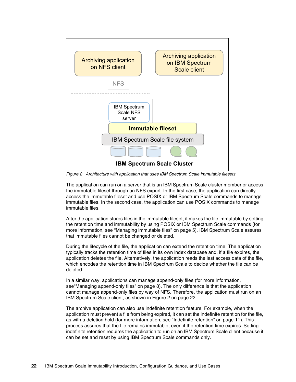

<span id="page-25-0"></span>*Figure 2 Architecture with application that uses IBM Spectrum Scale immutable filesets*

The application can run on a server that is an IBM Spectrum Scale cluster member or access the immutable fileset through an NFS export. In the first case, the application can directly access the immutable fileset and use POSIX or IBM Spectrum Scale commands to manage immutable files. In the second case, the application can use POSIX commands to manage immutable files.

After the application stores files in the immutable fileset, it makes the file immutable by setting the retention time and immutability by using POSIX or IBM Spectrum Scale commands (for more information, see ["Managing immutable files" on page 5](#page-8-0)). IBM Spectrum Scale assures that immutable files cannot be changed or deleted.

During the lifecycle of the file, the application can extend the retention time. The application typically tracks the retention time of files in its own index database and, if a file expires, the application deletes the file. Alternatively, the application reads the last access data of the file, which encodes the retention time in IBM Spectrum Scale to decide whether the file can be deleted.

In a similar way, applications can manage append-only files (for more information, see["Managing append-only files" on page 8](#page-11-0)). The only difference is that the application cannot manage append-only files by way of NFS. Therefore, the application must run on an IBM Spectrum Scale client, as shown in [Figure 2 on page 22.](#page-25-0)

The archive application can also use indefinite retention feature. For example, when the application must prevent a file from being expired, it can set the indefinite retention for the file, as with a deletion hold (for more information, see ["Indefinite retention" on page 11](#page-14-1)). This process assures that the file remains immutable, even if the retention time expires. Setting indefinite retention requires the application to run on an IBM Spectrum Scale client because it can be set and reset by using IBM Spectrum Scale commands only.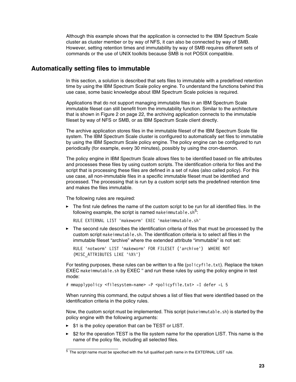Although this example shows that the application is connected to the IBM Spectrum Scale cluster as cluster member or by way of NFS, it can also be connected by way of SMB. However, setting retention times and immutability by way of SMB requires different sets of commands or the use of UNIX toolkits because SMB is not POSIX compatible.

#### <span id="page-26-0"></span>**Automatically setting files to immutable**

In this section, a solution is described that sets files to immutable with a predefined retention time by using the IBM Spectrum Scale policy engine. To understand the functions behind this use case, some basic knowledge about IBM Spectrum Scale policies is required.

Applications that do not support managing immutable files in an IBM Spectrum Scale immutable fileset can still benefit from the immutability function. Similar to the architecture that is shown in [Figure 2 on page 22,](#page-25-0) the archiving application connects to the immutable fileset by way of NFS or SMB, or as IBM Spectrum Scale client directly.

The archive application stores files in the immutable fileset of the IBM Spectrum Scale file system. The IBM Spectrum Scale cluster is configured to automatically set files to immutable by using the IBM Spectrum Scale policy engine. The policy engine can be configured to run periodically (for example, every 30 minutes), possibly by using the cron-daemon.

The policy engine in IBM Spectrum Scale allows files to be identified based on file attributes and processes these files by using custom scripts. The identification criteria for files and the script that is processing these files are defined in a set of rules (also called policy). For this use case, all non-immutable files in a specific immutable fileset must be identified and processed. The processing that is run by a custom script sets the predefined retention time and makes the files immutable.

The following rules are required:

- The first rule defines the name of the custom script to be run for all identified files. In the following example, the script is named make immutable.sh<sup>5</sup>:

```
RULE EXTERNAL LIST 'makeworm' EXEC 'makeimmutable.sh'
```
- The second rule describes the identification criteria of files that must be processed by the custom script makeimmutable.sh. The identification criteria is to select all files in the immutable fileset "archive" where the extended attribute "immutable" is not set:

```
RULE 'notworm' LIST 'makeworm' FOR FILESET ('archive') WHERE NOT 
(MISC_ATTRIBUTES LIKE '%X%')
```
For testing purposes, these rules can be written to a file (policyfile.txt). Replace the token EXEC makeimmutable.sh by EXEC '' and run these rules by using the policy engine in test mode:

```
# mmapplypolicy <filesystem-name> -P <policyfile.txt> -I defer -L 5
```
When running this command, the output shows a list of files that were identified based on the identification criteria in the policy rules.

Now, the custom script must be implemented. This script (makeimmutable.sh) is started by the policy engine with the following arguments:

- ► \$1 is the policy operation that can be TEST or LIST.
- ► \$2 for the operation TEST is the file system name for the operation LIST. This name is the name of the policy file, including all selected files.

<sup>5</sup> The script name must be specified with the full qualified path name in the EXTERNAL LIST rule.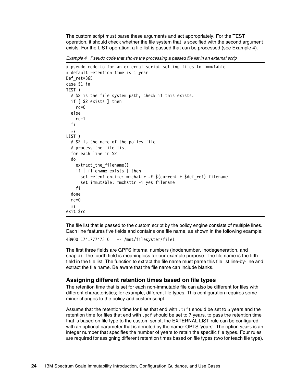The custom script must parse these arguments and act appropriately. For the TEST operation, it should check whether the file system that is specified with the second argument exists. For the LIST operation, a file list is passed that can be processed (see [Example 4\)](#page-27-0).

<span id="page-27-0"></span>*Example 4 Pseudo code that shows the processing a passed file list in an external scrip*

```
# pseudo code to for an external script setting files to immutable 
# default retention time is 1 year 
Def ret=365
case $1 in 
TEST ) 
   # $2 is the file system path, check if this exists. 
   if [ $2 exists ] then 
    rc=0 else 
    rc=1 fi 
   ;; 
LIST ) 
   # $2 is the name of the policy file 
   # process the file list 
   for each line in $2 
   do 
    extract the filename()
     if [ filename exists ] then 
      set retentiontime: mmchattr -E $(current + $def ret) filename
       set immutable: mmchattr -i yes filename 
     fi 
   done 
  rc=0 ;; 
exit $rc
```
The file list that is passed to the custom script by the policy engine consists of multiple lines. Each line features five fields and contains one file name, as shown in the following example:

```
48900 1741777473 0 -- /mnt/filesystem/file1
```
The first three fields are GPFS internal numbers (inodenumber, inodegeneration, and snapid). The fourth field is meaningless for our example purpose. The file name is the fifth field in the file list. The function to extract the file name must parse this file list line-by-line and extract the file name. Be aware that the file name can include blanks.

#### **Assigning different retention times based on file types**

The retention time that is set for each non-immutable file can also be different for files with different characteristics; for example, different file types. This configuration requires some minor changes to the policy and custom script.

Assume that the retention time for files that end with .tiff should be set to 5 years and the retention time for files that end with .pdf should be set to 7 years. to pass the retention time that is based on file type to the custom script, the EXTERNAL LIST rule can be configured with an optional parameter that is denoted by the name: OPTS 'years'. The option years is an integer number that specifies the number of years to retain the specific file types. Four rules are required for assigning different retention times based on file types (two for teach file type).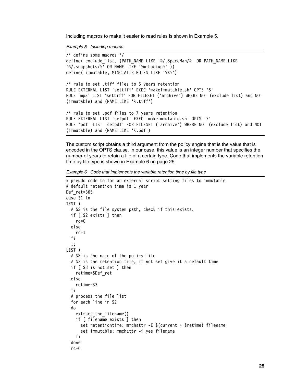Including macros to make it easier to read rules is shown in [Example 5](#page-28-0).

<span id="page-28-0"></span>*Example 5 Including macros*

```
/* define some macros */ 
define( exclude list, (PATH_NAME LIKE '%/.SpaceMan/%' OR PATH_NAME LIKE
'%/.snapshots/%' OR NAME LIKE '%mmbackup%' )) 
define( immutable, MISC_ATTRIBUTES LIKE '%X%') 
/* rule to set .tiff files to 5 years retention
RULE EXTERNAL LIST 'settiff' EXEC 'makeimmutable.sh' OPTS '5' 
RULE 'mp3' LIST 'settiff' FOR FILESET ('archive') WHERE NOT (exclude_list) and NOT 
(immutable) and (NAME LIKE '%.tiff') 
/* rule to set .pdf files to 7 years retention 
RULE EXTERNAL LIST 'setpdf' EXEC 'makeimmutable.sh' OPTS '7' 
RULE 'pdf' LIST 'setpdf' FOR FILESET ('archive') WHERE NOT (exclude_list) and NOT 
(immutable) and (NAME LIKE '%.pdf')
```
The custom script obtains a third argument from the policy engine that is the value that is encoded in the OPTS clause. In our case, this value is an integer number that specifies the number of years to retain a file of a certain type. Code that implements the variable retention time by file type is shown in [Example 6 on page 25](#page-28-1).

<span id="page-28-1"></span>*Example 6 Code that implements the variable retention time by file type*

```
# pseudo code to for an external script setting files to immutable 
# default retention time is 1 year 
Def ret=365
case $1 in 
TEST ) 
   # $2 is the file system path, check if this exists. 
   if [ $2 exists ] then 
     rc=0 
   else 
     rc=1 
   fi 
   ;; 
LIST ) 
   # $2 is the name of the policy file 
   # $3 is the retention time, if not set give it a default time 
   if [ $3 is not set ] then 
     retime=$Def_ret 
   else 
     retime=$3 
   fi 
   # process the file list 
   for each line in $2 
   do 
    extract the filename()
     if [ filename exists ] then 
       set retentiontime: mmchattr -E $(current + $retime) filename 
       set immutable: mmchattr -i yes filename 
     fi 
   done 
   rc=0
```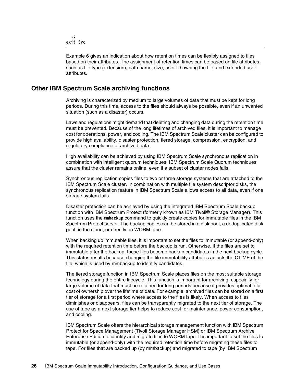[Example 6](#page-28-1) gives an indication about how retention times can be flexibly assigned to files based on their attributes. The assignment of retention times can be based on file attributes, such as file type (extension), path name, size, user ID owning the file, and extended user attributes.

#### <span id="page-29-0"></span>**Other IBM Spectrum Scale archiving functions**

Archiving is characterized by medium to large volumes of data that must be kept for long periods. During this time, access to the files should always be possible, even if an unwanted situation (such as a disaster) occurs.

Laws and regulations might demand that deleting and changing data during the retention time must be prevented. Because of the long lifetimes of archived files, it is important to manage cost for operations, power, and cooling. The IBM Spectrum Scale cluster can be configured to provide high availability, disaster protection, tiered storage, compression, encryption, and regulatory compliance of archived data.

High availability can be achieved by using IBM Spectrum Scale synchronous replication in combination with intelligent quorum techniques. IBM Spectrum Scale Quorum techniques assure that the cluster remains online, even if a subset of cluster nodes fails.

Synchronous replication copies files to two or three storage systems that are attached to the IBM Spectrum Scale cluster. In combination with multiple file system descriptor disks, the synchronous replication feature in IBM Spectrum Scale allows access to all data, even if one storage system fails.

Disaster protection can be achieved by using the integrated IBM Spectrum Scale backup function with IBM Spectrum Protect (formerly known as IBM Tivoli® Storage Manager). This function uses the **mmbackup** command to quickly create copies for immutable files in the IBM Spectrum Protect server. The backup copies can be stored in a disk pool, a deduplicated disk pool, in the cloud, or directly on WORM tape.

When backing up immutable files, it is important to set the files to immutable (or append-only) with the required retention time before the backup is run. Otherwise, if the files are set to immutable after the backup, these files become backup candidates in the next backup cycle. This status results because changing the file immutability attributes adjusts the CTIME of the file, which is used by mmbackup to identify candidates.

The tiered storage function in IBM Spectrum Scale places files on the most suitable storage technology during the entire lifecycle. This function is important for archiving, especially for large volume of data that must be retained for long periods because it provides optimal total cost of ownership over the lifetime of data. For example, archived files can be stored on a first tier of storage for a first period where access to the files is likely. When access to files diminishes or disappears, files can be transparently migrated to the next tier of storage. The use of tape as a next storage tier helps to reduce cost for maintenance, power consumption, and cooling.

IBM Spectrum Scale offers the hierarchical storage management function with IBM Spectrum Protect for Space Management (Tivoli Storage Manager HSM) or IBM Spectrum Archive Enterprise Edition to identify and migrate files to WORM tape. It is important to set the files to immutable (or append-only) with the required retention time before migrating these files to tape. For files that are backed up (by mmbackup) and migrated to tape (by IBM Spectrum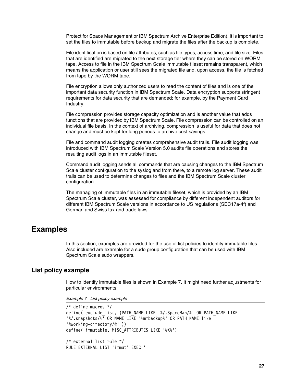Protect for Space Management or IBM Spectrum Archive Enterprise Edition), it is important to set the files to immutable before backup and migrate the files after the backup is complete.

File identification is based on file attributes, such as file types, access time, and file size. Files that are identified are migrated to the next storage tier where they can be stored on WORM tape. Access to file in the IBM Spectrum Scale immutable fileset remains transparent, which means the application or user still sees the migrated file and, upon access, the file is fetched from tape by the WORM tape.

File encryption allows only authorized users to read the content of files and is one of the important data security function in IBM Spectrum Scale. Data encryption supports stringent requirements for data security that are demanded; for example, by the Payment Card Industry.

File compression provides storage capacity optimization and is another value that adds functions that are provided by IBM Spectrum Scale. File compression can be controlled on an individual file basis. In the context of archiving, compression is useful for data that does not change and must be kept for long periods to archive cost savings.

File and command audit logging creates comprehensive audit trails. File audit logging was introduced with IBM Spectrum Scale Version 5.0 audits file operations and stores the resulting audit logs in an immutable fileset.

Command audit logging sends all commands that are causing changes to the IBM Spectrum Scale cluster configuration to the syslog and from there, to a remote log server. These audit trails can be used to determine changes to files and the IBM Spectrum Scale cluster configuration.

The managing of immutable files in an immutable fileset, which is provided by an IBM Spectrum Scale cluster, was assessed for compliance by different independent auditors for different IBM Spectrum Scale versions in accordance to US regulations (SEC17a-4f) and German and Swiss tax and trade laws.

### **Examples**

In this section, examples are provided for the use of list policies to identify immutable files. Also included are example for a sudo group configuration that can be used with IBM Spectrum Scale sudo wrappers.

#### <span id="page-30-0"></span>**List policy example**

How to identify immutable files is shown in [Example 7](#page-30-1). It might need further adjustments for particular environments.

<span id="page-30-1"></span>*Example 7 List policy example*

```
/* define macros */ 
define( exclude list, (PATH_NAME LIKE '%/.SpaceMan/%' OR PATH_NAME LIKE
'%/.snapshots/%' OR NAME LIKE '%mmbackup%' OR PATH_NAME like 
'%working-directory/%' )) 
define( immutable, MISC_ATTRIBUTES LIKE '%X%') 
/* external list rule */ 
RULE EXTERNAL LIST 'immut' EXEC ''
```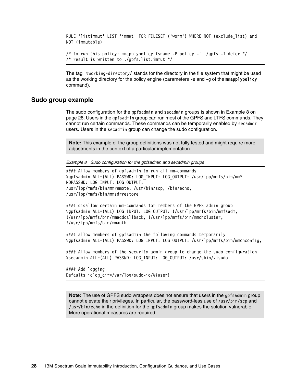```
RULE 'listimmut' LIST 'immut' FOR FILESET ('worm') WHERE NOT (exclude_list) and 
NOT (immutable) 
/* to run this policy: mmapplypolicy fsname -P policy -f ./gpfs -I defer */
```

```
The tag '%working-directory/ stands for the directory in the file system that might be used 
as the working directory for the policy engine (parameters -s and -g of the mmapplypolicy
command).
```
#### **Sudo group example**

The sudo configuration for the gpfsadmin and secadmin groups is shown in [Example 8 on](#page-31-0)  [page 28.](#page-31-0) Users in the gpfsadmin group can run most of the GPFS and LTFS commands. They cannot run certain commands. These commands can be temporarily enabled by secadmin users. Users in the secadmin group can change the sudo configuration.

**Note:** This example of the group definitions was not fully tested and might require more adjustments in the context of a particular implementation.

<span id="page-31-0"></span>*Example 8 Sudo configuration for the gpfsadmin and secadmin groups*

/\* result is written to ./gpfs.list.immut \*/

```
#### Allow members of gpfsadmin to run all mm-commands 
%gpfsadmin ALL=(ALL) PASSWD: LOG_INPUT: LOG_OUTPUT: /usr/lpp/mmfs/bin/mm* 
NOPASSWD: LOG_INPUT: LOG_OUTPUT:
/usr/lpp/mmfs/bin/mmremote, /usr/bin/scp, /bin/echo, 
/usr/lpp/mmfs/bin/mmsdrrestore
```
#### disallow certain mm-commands for members of the GPFS admin group %gpfsadmin ALL=(ALL) LOG\_INPUT: LOG\_OUTPUT: !/usr/lpp/mmfs/bin/mmfsadm, !/usr/lpp/mmfs/bin/mmaddcallback, !/usr/lpp/mmfs/bin/mmchcluster, !/usr/lpp/mmfs/bin/mmauth

```
#### allow members of gpfsadmin the following commands temporarily
%gpfsadmin ALL=(ALL) PASSWD: LOG_INPUT: LOG_OUTPUT: /usr/lpp/mmfs/bin/mmchconfig,
```
#### Allow members of the security admin group to change the sudo configuration %secadmin ALL=(ALL) PASSWD: LOG\_INPUT: LOG\_OUTPUT: /usr/sbin/visudo

 $\# \# \#$  Add logging Defaults iolog dir=/var/log/sudo-io/%{user}

**Note:** The use of GPFS sudo wrappers does not ensure that users in the gpfsadmin group cannot elevate their privileges. In particular, the password-less use of /usr/bin/scp and /usr/bin/echo in the definition for the gpfsadmin group makes the solution vulnerable. More operational measures are required.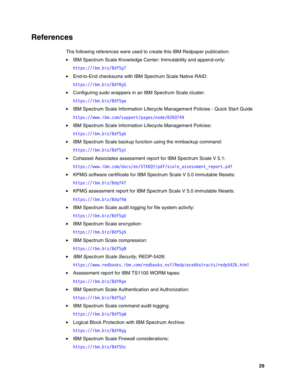## **References**

The following references were used to create this IBM Redpaper publication:

- ► IBM Spectrum Scale Knowledge Center: Immutability and append-only: <https://ibm.biz/BdfSgT>
- ► End-to-End checksums with IBM Spectrum Scale Native RAID: <https://ibm.biz/BdYRgS>
- Configuring sudo wrappers in an IBM Spectrum Scale cluster: <https://ibm.biz/BdfSgw>
- IBM Spectrum Scale Information Lifecycle Management Policies Quick Start Guide <https://www.ibm.com/support/pages/node/6260749>
- IBM Spectrum Scale Information Lifecycle Management Policies: <https://ibm.biz/BdfSgk>
- ► IBM Spectrum Scale backup function using the mmbackup command: <https://ibm.biz/BdfSgt>
- ► Cohasset Associates assessment report for IBM Spectrum Scale V 5.1: [https://www.ibm.com/docs/en/STXKQY/pdf/scale\\_assessment\\_report.pdf](https://www.ibm.com/docs/en/STXKQY/pdf/scale_assessment_report.pdf)
- ► KPMG software certificate for IBM Spectrum Scale V 5.0 immutable filesets: <https://ibm.biz/Bdqf47>
- ► KPMG assessment report for IBM Spectrum Scale V 5.0 immutable filesets: <https://ibm.biz/Bdqf4W>
- ► IBM Spectrum Scale audit logging for file system activity: <https://ibm.biz/BdfSgU>
- IBM Spectrum Scale encryption: <https://ibm.biz/BdfSg5>
- IBM Spectrum Scale compression: <https://ibm.biz/BdfSgN>
- *IBM Spectrum Scale Security*, REDP-5426: <https://www.redbooks.ibm.com/redbooks.nsf/RedpieceAbstracts/redp5426.html>
- Assessment report for IBM TS1100 WORM tapes: <https://ibm.biz/BdYRge>
- IBM Spectrum Scale Authentication and Authorization: <https://ibm.biz/BdfSg7>
- IBM Spectrum Scale command audit logging: <https://ibm.biz/BdfSgW>
- ► Logical Block Protection with IBM Spectrum Archive: <https://ibm.biz/BdYRgg>
- IBM Spectrum Scale Firewall considerations: <https://ibm.biz/BdfShc>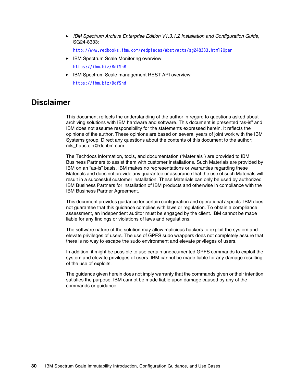► *IBM Spectrum Archive Enterprise Edition V1.3.1.2 Installation and Configuration Guide*, SG24-8333:

<http://www.redbooks.ibm.com/redpieces/abstracts/sg248333.html?Open>

- IBM Spectrum Scale Monitoring overview: <https://ibm.biz/BdfShB>
- IBM Spectrum Scale management REST API overview:

<https://ibm.biz/BdfShd>

## <span id="page-33-0"></span>**Disclaimer**

This document reflects the understanding of the author in regard to questions asked about archiving solutions with IBM hardware and software. This document is presented "as-is" and IBM does not assume responsibility for the statements expressed herein. It reflects the opinions of the author. These opinions are based on several years of joint work with the IBM Systems group. Direct any questions about the contents of this document to the author: nils\_haustein@de.ibm.com.

The Techdocs information, tools, and documentation ("Materials") are provided to IBM Business Partners to assist them with customer installations. Such Materials are provided by IBM on an "as-is" basis. IBM makes no representations or warranties regarding these Materials and does not provide any guarantee or assurance that the use of such Materials will result in a successful customer installation. These Materials can only be used by authorized IBM Business Partners for installation of IBM products and otherwise in compliance with the IBM Business Partner Agreement.

This document provides guidance for certain configuration and operational aspects. IBM does not guarantee that this guidance complies with laws or regulation. To obtain a compliance assessment, an independent auditor must be engaged by the client. IBM cannot be made liable for any findings or violations of laws and regulations.

The software nature of the solution may allow malicious hackers to exploit the system and elevate privileges of users. The use of GPFS sudo wrappers does not completely assure that there is no way to escape the sudo environment and elevate privileges of users.

In addition, it might be possible to use certain undocumented GPFS commands to exploit the system and elevate privileges of users. IBM cannot be made liable for any damage resulting of the use of exploits.

The guidance given herein does not imply warranty that the commands given or their intention satisfies the purpose. IBM cannot be made liable upon damage caused by any of the commands or guidance.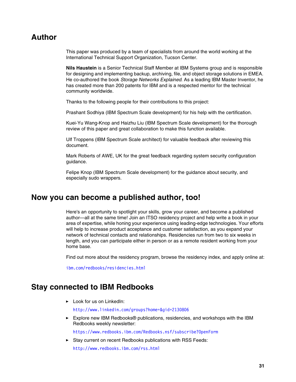## **Author**

This paper was produced by a team of specialists from around the world working at the International Technical Support Organization, Tucson Center.

**Nils Haustein** is a Senior Technical Staff Member at IBM Systems group and is responsible for designing and implementing backup, archiving, file, and object storage solutions in EMEA. He co-authored the book *Storage Networks Explained*. As a leading IBM Master Inventor, he has created more than 200 patents for IBM and is a respected mentor for the technical community worldwide.

Thanks to the following people for their contributions to this project:

Prashant Sodhiya (IBM Spectrum Scale development) for his help with the certification.

Kuei-Yu Wang-Knop and Haizhu Liu (IBM Spectrum Scale development) for the thorough review of this paper and great collaboration to make this function available.

Ulf Troppens (IBM Spectrum Scale architect) for valuable feedback after reviewing this document.

Mark Roberts of AWE, UK for the great feedback regarding system security configuration guidance.

Felipe Knop (IBM Spectrum Scale development) for the guidance about security, and especially sudo wrappers.

## **Now you can become a published author, too!**

Here's an opportunity to spotlight your skills, grow your career, and become a published author—all at the same time! Join an ITSO residency project and help write a book in your area of expertise, while honing your experience using leading-edge technologies. Your efforts will help to increase product acceptance and customer satisfaction, as you expand your network of technical contacts and relationships. Residencies run from two to six weeks in length, and you can participate either in person or as a remote resident working from your home base.

Find out more about the residency program, browse the residency index, and apply online at:

[ibm.com/redbooks/residencies.html](http://www.redbooks.ibm.com/residencies.html)

## **Stay connected to IBM Redbooks**

► Look for us on LinkedIn: <http://www.linkedin.com/groups?home=&gid=2130806>

► Explore new IBM Redbooks® publications, residencies, and workshops with the IBM Redbooks weekly newsletter:

<https://www.redbooks.ibm.com/Redbooks.nsf/subscribe?OpenForm>

► Stay current on recent Redbooks publications with RSS Feeds:

<http://www.redbooks.ibm.com/rss.html>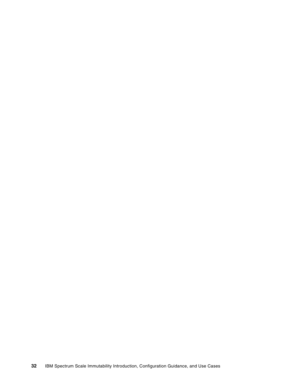IBM Spectrum Scale Immutability Introduction, Configuration Guidance, and Use Cases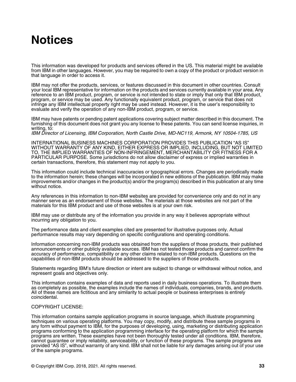## **Notices**

This information was developed for products and services offered in the US. This material might be available from IBM in other languages. However, you may be required to own a copy of the product or product version in that language in order to access it.

IBM may not offer the products, services, or features discussed in this document in other countries. Consult your local IBM representative for information on the products and services currently available in your area. Any reference to an IBM product, program, or service is not intended to state or imply that only that IBM product, program, or service may be used. Any functionally equivalent product, program, or service that does not infringe any IBM intellectual property right may be used instead. However, it is the user's responsibility to evaluate and verify the operation of any non-IBM product, program, or service.

IBM may have patents or pending patent applications covering subject matter described in this document. The furnishing of this document does not grant you any license to these patents. You can send license inquiries, in writing, to:

*IBM Director of Licensing, IBM Corporation, North Castle Drive, MD-NC119, Armonk, NY 10504-1785, US* 

INTERNATIONAL BUSINESS MACHINES CORPORATION PROVIDES THIS PUBLICATION "AS IS" WITHOUT WARRANTY OF ANY KIND, EITHER EXPRESS OR IMPLIED, INCLUDING, BUT NOT LIMITED TO, THE IMPLIED WARRANTIES OF NON-INFRINGEMENT, MERCHANTABILITY OR FITNESS FOR A PARTICULAR PURPOSE. Some jurisdictions do not allow disclaimer of express or implied warranties in certain transactions, therefore, this statement may not apply to you.

This information could include technical inaccuracies or typographical errors. Changes are periodically made to the information herein; these changes will be incorporated in new editions of the publication. IBM may make improvements and/or changes in the product(s) and/or the program(s) described in this publication at any time without notice.

Any references in this information to non-IBM websites are provided for convenience only and do not in any manner serve as an endorsement of those websites. The materials at those websites are not part of the materials for this IBM product and use of those websites is at your own risk.

IBM may use or distribute any of the information you provide in any way it believes appropriate without incurring any obligation to you.

The performance data and client examples cited are presented for illustrative purposes only. Actual performance results may vary depending on specific configurations and operating conditions.

Information concerning non-IBM products was obtained from the suppliers of those products, their published announcements or other publicly available sources. IBM has not tested those products and cannot confirm the accuracy of performance, compatibility or any other claims related to non-IBM products. Questions on the capabilities of non-IBM products should be addressed to the suppliers of those products.

Statements regarding IBM's future direction or intent are subject to change or withdrawal without notice, and represent goals and objectives only.

This information contains examples of data and reports used in daily business operations. To illustrate them as completely as possible, the examples include the names of individuals, companies, brands, and products. All of these names are fictitious and any similarity to actual people or business enterprises is entirely coincidental.

#### COPYRIGHT LICENSE:

This information contains sample application programs in source language, which illustrate programming techniques on various operating platforms. You may copy, modify, and distribute these sample programs in any form without payment to IBM, for the purposes of developing, using, marketing or distributing application programs conforming to the application programming interface for the operating platform for which the sample programs are written. These examples have not been thoroughly tested under all conditions. IBM, therefore, cannot guarantee or imply reliability, serviceability, or function of these programs. The sample programs are provided "AS IS", without warranty of any kind. IBM shall not be liable for any damages arising out of your use of the sample programs.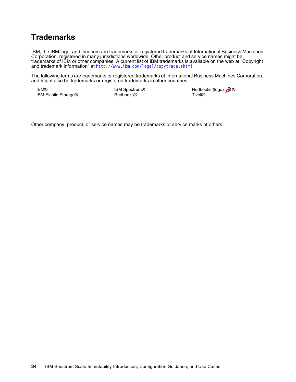## **Trademarks**

IBM, the IBM logo, and ibm.com are trademarks or registered trademarks of International Business Machines Corporation, registered in many jurisdictions worldwide. Other product and service names might be trademarks of IBM or other companies. A current list of IBM trademarks is available on the web at "Copyright and trademark information" at <http://www.ibm.com/legal/copytrade.shtml>

The following terms are trademarks or registered trademarks of International Business Machines Corporation, and might also be trademarks or registered trademarks in other countries.

IBM® IBM Elastic Storage® IBM Spectrum® Redbooks®

Redbooks (logo) **@** ® Tivoli®

Other company, product, or service names may be trademarks or service marks of others.